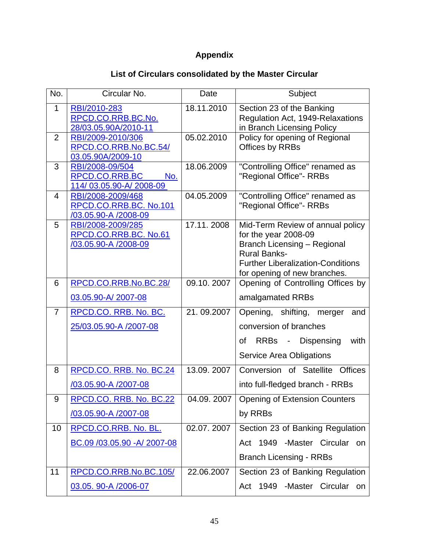## **Appendix**

## **List of Circulars consolidated by the Master Circular**

| No.            | Circular No.                                    | Date       | Subject                                                         |
|----------------|-------------------------------------------------|------------|-----------------------------------------------------------------|
| $\mathbf{1}$   | RBI/2010-283<br>RPCD.CO.RRB.BC.No.              | 18.11.2010 | Section 23 of the Banking<br>Regulation Act, 1949-Relaxations   |
|                | 28/03.05.90A/2010-11                            |            | in Branch Licensing Policy                                      |
| $\overline{2}$ | RBI/2009-2010/306                               | 05.02.2010 | Policy for opening of Regional                                  |
|                | RPCD.CO.RRB.No.BC.54/                           |            | Offices by RRBs                                                 |
|                | 03.05.90A/2009-10                               |            |                                                                 |
| 3              | RBI/2008-09/504                                 | 18.06.2009 | "Controlling Office" renamed as                                 |
|                | RPCD.CO.RRB.BC<br>No.<br>114/03.05.90-A/2008-09 |            | "Regional Office"- RRBs                                         |
| 4              | RBI/2008-2009/468                               | 04.05.2009 | "Controlling Office" renamed as                                 |
|                | RPCD.CO.RRB.BC. No.101                          |            | "Regional Office"- RRBs                                         |
|                | /03.05.90-A /2008-09                            |            |                                                                 |
| 5              | RBI/2008-2009/285                               | 17.11.2008 | Mid-Term Review of annual policy                                |
|                | RPCD.CO.RRB.BC. No.61                           |            | for the year 2008-09                                            |
|                | <u>/03.05.90-A /2008-09</u>                     |            | <b>Branch Licensing - Regional</b>                              |
|                |                                                 |            | <b>Rural Banks-</b><br><b>Further Liberalization-Conditions</b> |
|                |                                                 |            | for opening of new branches.                                    |
| 6              | RPCD.CO.RRB.No.BC.28/                           | 09.10.2007 | Opening of Controlling Offices by                               |
|                | 03.05.90-A/2007-08                              |            | amalgamated RRBs                                                |
| $\overline{7}$ | RPCD.CO. RRB. No. BC.                           | 21.09.2007 | Opening, shifting, merger<br>and                                |
|                | 25/03.05.90-A /2007-08                          |            | conversion of branches                                          |
|                |                                                 |            | of RRBs -<br>Dispensing<br>with                                 |
|                |                                                 |            | <b>Service Area Obligations</b>                                 |
| 8              | RPCD.CO. RRB. No. BC.24                         | 13.09.2007 | Conversion of Satellite Offices                                 |
|                | /03.05.90-A /2007-08                            |            | into full-fledged branch - RRBs                                 |
| 9              | RPCD.CO. RRB. No. BC.22                         |            | 04.09. 2007   Opening of Extension Counters                     |
|                | <u>/03.05.90-A /2007-08</u>                     |            | by RRBs                                                         |
|                |                                                 |            |                                                                 |
| 10             | RPCD.CO.RRB. No. BL.                            | 02.07.2007 | Section 23 of Banking Regulation                                |
|                | BC.09 /03.05.90 - A/ 2007-08                    |            | Act 1949 -Master Circular<br>on                                 |
|                |                                                 |            | <b>Branch Licensing - RRBs</b>                                  |
| 11             | RPCD.CO.RRB.No.BC.105/                          | 22.06.2007 | Section 23 of Banking Regulation                                |
|                | 03.05. 90-A /2006-07                            |            | -Master Circular<br>1949<br>Act<br>on                           |